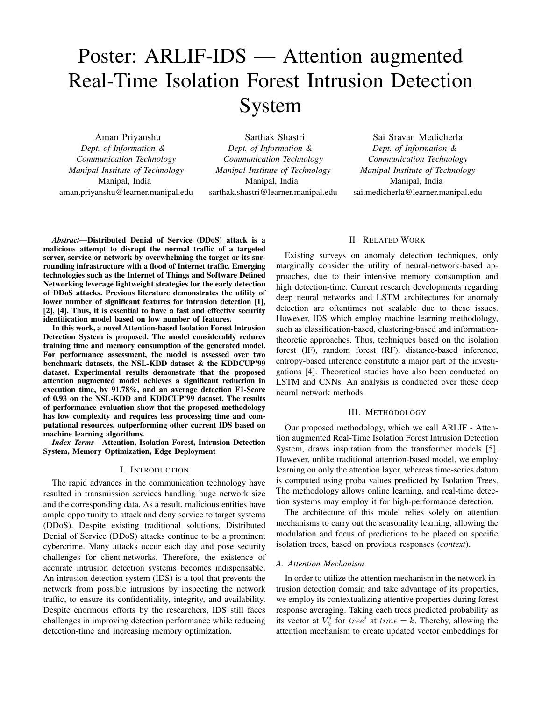# Poster: ARLIF-IDS — Attention augmented Real-Time Isolation Forest Intrusion Detection System

Aman Priyanshu *Dept. of Information & Communication Technology Manipal Institute of Technology* Manipal, India aman.priyanshu@learner.manipal.edu

Sarthak Shastri *Dept. of Information & Communication Technology Manipal Institute of Technology* Manipal, India sarthak.shastri@learner.manipal.edu

Sai Sravan Medicherla *Dept. of Information & Communication Technology Manipal Institute of Technology* Manipal, India sai.medicherla@learner.manipal.edu

*Abstract*—Distributed Denial of Service (DDoS) attack is a malicious attempt to disrupt the normal traffic of a targeted server, service or network by overwhelming the target or its surrounding infrastructure with a flood of Internet traffic. Emerging technologies such as the Internet of Things and Software Defined Networking leverage lightweight strategies for the early detection of DDoS attacks. Previous literature demonstrates the utility of lower number of significant features for intrusion detection [1], [2], [4]. Thus, it is essential to have a fast and effective security identification model based on low number of features.

In this work, a novel Attention-based Isolation Forest Intrusion Detection System is proposed. The model considerably reduces training time and memory consumption of the generated model. For performance assessment, the model is assessed over two benchmark datasets, the NSL-KDD dataset & the KDDCUP'99 dataset. Experimental results demonstrate that the proposed attention augmented model achieves a significant reduction in execution time, by 91.78%, and an average detection F1-Score of 0.93 on the NSL-KDD and KDDCUP'99 dataset. The results of performance evaluation show that the proposed methodology has low complexity and requires less processing time and computational resources, outperforming other current IDS based on machine learning algorithms.

*Index Terms*—Attention, Isolation Forest, Intrusion Detection System, Memory Optimization, Edge Deployment

### I. INTRODUCTION

The rapid advances in the communication technology have resulted in transmission services handling huge network size and the corresponding data. As a result, malicious entities have ample opportunity to attack and deny service to target systems (DDoS). Despite existing traditional solutions, Distributed Denial of Service (DDoS) attacks continue to be a prominent cybercrime. Many attacks occur each day and pose security challenges for client-networks. Therefore, the existence of accurate intrusion detection systems becomes indispensable. An intrusion detection system (IDS) is a tool that prevents the network from possible intrusions by inspecting the network traffic, to ensure its confidentiality, integrity, and availability. Despite enormous efforts by the researchers, IDS still faces challenges in improving detection performance while reducing detection-time and increasing memory optimization.

## II. RELATED WORK

Existing surveys on anomaly detection techniques, only marginally consider the utility of neural-network-based approaches, due to their intensive memory consumption and high detection-time. Current research developments regarding deep neural networks and LSTM architectures for anomaly detection are oftentimes not scalable due to these issues. However, IDS which employ machine learning methodology, such as classification-based, clustering-based and informationtheoretic approaches. Thus, techniques based on the isolation forest (IF), random forest (RF), distance-based inference, entropy-based inference constitute a major part of the investigations [4]. Theoretical studies have also been conducted on LSTM and CNNs. An analysis is conducted over these deep neural network methods.

## III. METHODOLOGY

Our proposed methodology, which we call ARLIF - Attention augmented Real-Time Isolation Forest Intrusion Detection System, draws inspiration from the transformer models [5]. However, unlike traditional attention-based model, we employ learning on only the attention layer, whereas time-series datum is computed using proba values predicted by Isolation Trees. The methodology allows online learning, and real-time detection systems may employ it for high-performance detection.

The architecture of this model relies solely on attention mechanisms to carry out the seasonality learning, allowing the modulation and focus of predictions to be placed on specific isolation trees, based on previous responses (*context*).

## *A. Attention Mechanism*

In order to utilize the attention mechanism in the network intrusion detection domain and take advantage of its properties, we employ its contextualizing attentive properties during forest response averaging. Taking each trees predicted probability as its vector at  $V_k^i$  for  $tree^i$  at  $time = k$ . Thereby, allowing the attention mechanism to create updated vector embeddings for